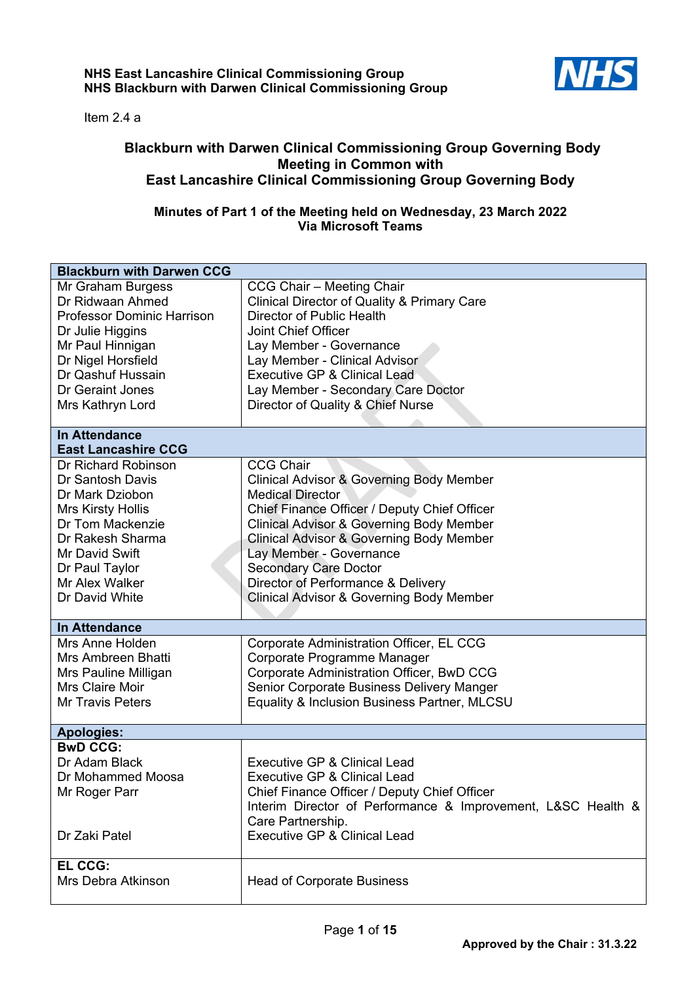

Item 2.4 a

## **Blackburn with Darwen Clinical Commissioning Group Governing Body Meeting in Common with East Lancashire Clinical Commissioning Group Governing Body**

## **Minutes of Part 1 of the Meeting held on Wednesday, 23 March 2022 Via Microsoft Teams**

| <b>Blackburn with Darwen CCG</b>             |                                                                                                            |
|----------------------------------------------|------------------------------------------------------------------------------------------------------------|
| Mr Graham Burgess                            | CCG Chair - Meeting Chair                                                                                  |
| Dr Ridwaan Ahmed                             | <b>Clinical Director of Quality &amp; Primary Care</b>                                                     |
| <b>Professor Dominic Harrison</b>            | Director of Public Health                                                                                  |
| Dr Julie Higgins                             | Joint Chief Officer                                                                                        |
| Mr Paul Hinnigan                             | Lay Member - Governance                                                                                    |
| Dr Nigel Horsfield                           | Lay Member - Clinical Advisor                                                                              |
| Dr Qashuf Hussain                            | <b>Executive GP &amp; Clinical Lead</b>                                                                    |
| Dr Geraint Jones                             | Lay Member - Secondary Care Doctor                                                                         |
| Mrs Kathryn Lord                             | Director of Quality & Chief Nurse                                                                          |
| <b>In Attendance</b>                         |                                                                                                            |
| <b>East Lancashire CCG</b>                   |                                                                                                            |
| Dr Richard Robinson                          | <b>CCG Chair</b>                                                                                           |
| Dr Santosh Davis                             | <b>Clinical Advisor &amp; Governing Body Member</b>                                                        |
| Dr Mark Dziobon                              | <b>Medical Director</b>                                                                                    |
| <b>Mrs Kirsty Hollis</b><br>Dr Tom Mackenzie | Chief Finance Officer / Deputy Chief Officer                                                               |
| Dr Rakesh Sharma                             | <b>Clinical Advisor &amp; Governing Body Member</b><br><b>Clinical Advisor &amp; Governing Body Member</b> |
| Mr David Swift                               | Lay Member - Governance                                                                                    |
| Dr Paul Taylor                               | <b>Secondary Care Doctor</b>                                                                               |
| Mr Alex Walker                               | Director of Performance & Delivery                                                                         |
| Dr David White                               | <b>Clinical Advisor &amp; Governing Body Member</b>                                                        |
|                                              |                                                                                                            |
| <b>In Attendance</b>                         |                                                                                                            |
| Mrs Anne Holden                              | Corporate Administration Officer, EL CCG                                                                   |
| Mrs Ambreen Bhatti                           | Corporate Programme Manager                                                                                |
| Mrs Pauline Milligan                         | Corporate Administration Officer, BwD CCG                                                                  |
| <b>Mrs Claire Moir</b>                       | Senior Corporate Business Delivery Manger                                                                  |
| <b>Mr Travis Peters</b>                      | Equality & Inclusion Business Partner, MLCSU                                                               |
| <b>Apologies:</b>                            |                                                                                                            |
| <b>BwD CCG:</b>                              |                                                                                                            |
| Dr Adam Black                                | <b>Executive GP &amp; Clinical Lead</b>                                                                    |
| Dr Mohammed Moosa                            | <b>Executive GP &amp; Clinical Lead</b>                                                                    |
| Mr Roger Parr                                | Chief Finance Officer / Deputy Chief Officer                                                               |
|                                              | Interim Director of Performance & Improvement, L&SC Health &                                               |
|                                              | Care Partnership.                                                                                          |
| Dr Zaki Patel                                | <b>Executive GP &amp; Clinical Lead</b>                                                                    |
| EL CCG:                                      |                                                                                                            |
| Mrs Debra Atkinson                           | <b>Head of Corporate Business</b>                                                                          |
|                                              |                                                                                                            |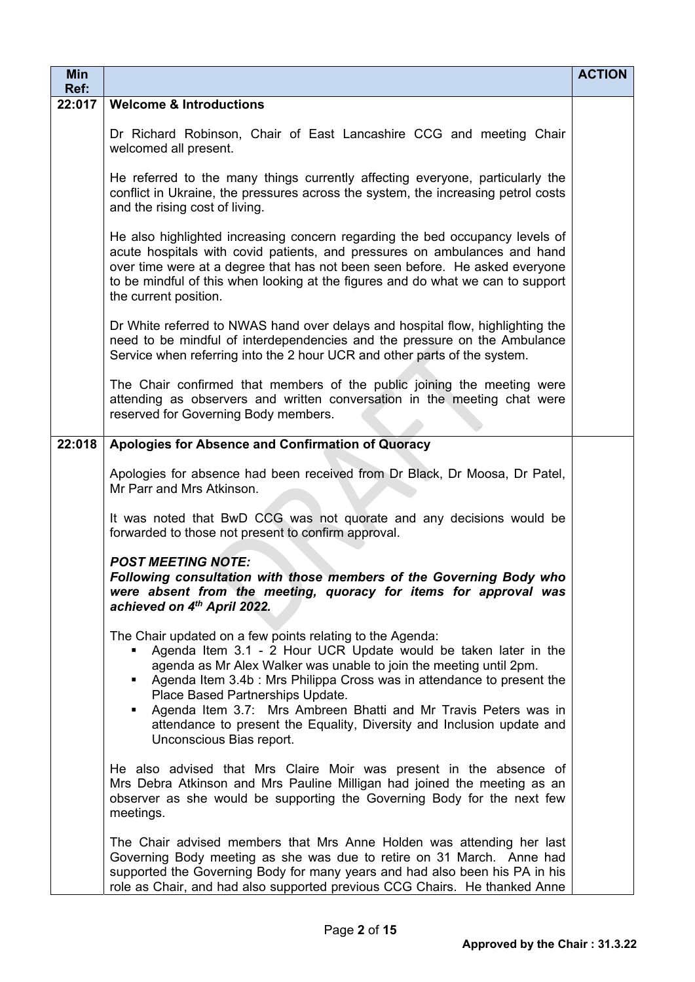| Min<br>Ref: |                                                                                                                                                                                                                                                                                                                                                                                                                                                                                             | <b>ACTION</b> |
|-------------|---------------------------------------------------------------------------------------------------------------------------------------------------------------------------------------------------------------------------------------------------------------------------------------------------------------------------------------------------------------------------------------------------------------------------------------------------------------------------------------------|---------------|
| 22:017      | <b>Welcome &amp; Introductions</b>                                                                                                                                                                                                                                                                                                                                                                                                                                                          |               |
|             | Dr Richard Robinson, Chair of East Lancashire CCG and meeting Chair<br>welcomed all present.                                                                                                                                                                                                                                                                                                                                                                                                |               |
|             | He referred to the many things currently affecting everyone, particularly the<br>conflict in Ukraine, the pressures across the system, the increasing petrol costs<br>and the rising cost of living.                                                                                                                                                                                                                                                                                        |               |
|             | He also highlighted increasing concern regarding the bed occupancy levels of<br>acute hospitals with covid patients, and pressures on ambulances and hand<br>over time were at a degree that has not been seen before. He asked everyone<br>to be mindful of this when looking at the figures and do what we can to support<br>the current position.                                                                                                                                        |               |
|             | Dr White referred to NWAS hand over delays and hospital flow, highlighting the<br>need to be mindful of interdependencies and the pressure on the Ambulance<br>Service when referring into the 2 hour UCR and other parts of the system.                                                                                                                                                                                                                                                    |               |
|             | The Chair confirmed that members of the public joining the meeting were<br>attending as observers and written conversation in the meeting chat were<br>reserved for Governing Body members.                                                                                                                                                                                                                                                                                                 |               |
| 22:018      | Apologies for Absence and Confirmation of Quoracy                                                                                                                                                                                                                                                                                                                                                                                                                                           |               |
|             | Apologies for absence had been received from Dr Black, Dr Moosa, Dr Patel,<br>Mr Parr and Mrs Atkinson.                                                                                                                                                                                                                                                                                                                                                                                     |               |
|             | It was noted that BwD CCG was not quorate and any decisions would be<br>forwarded to those not present to confirm approval.                                                                                                                                                                                                                                                                                                                                                                 |               |
|             | <b>POST MEETING NOTE:</b><br>Following consultation with those members of the Governing Body who<br>were absent from the meeting, quoracy for items for approval was<br>achieved on 4th April 2022.                                                                                                                                                                                                                                                                                         |               |
|             | The Chair updated on a few points relating to the Agenda:<br>Agenda Item 3.1 - 2 Hour UCR Update would be taken later in the<br>agenda as Mr Alex Walker was unable to join the meeting until 2pm.<br>• Agenda Item 3.4b : Mrs Philippa Cross was in attendance to present the<br>Place Based Partnerships Update.<br>Agenda Item 3.7: Mrs Ambreen Bhatti and Mr Travis Peters was in<br>attendance to present the Equality, Diversity and Inclusion update and<br>Unconscious Bias report. |               |
|             | He also advised that Mrs Claire Moir was present in the absence of<br>Mrs Debra Atkinson and Mrs Pauline Milligan had joined the meeting as an<br>observer as she would be supporting the Governing Body for the next few<br>meetings.                                                                                                                                                                                                                                                      |               |
|             | The Chair advised members that Mrs Anne Holden was attending her last<br>Governing Body meeting as she was due to retire on 31 March. Anne had<br>supported the Governing Body for many years and had also been his PA in his<br>role as Chair, and had also supported previous CCG Chairs. He thanked Anne                                                                                                                                                                                 |               |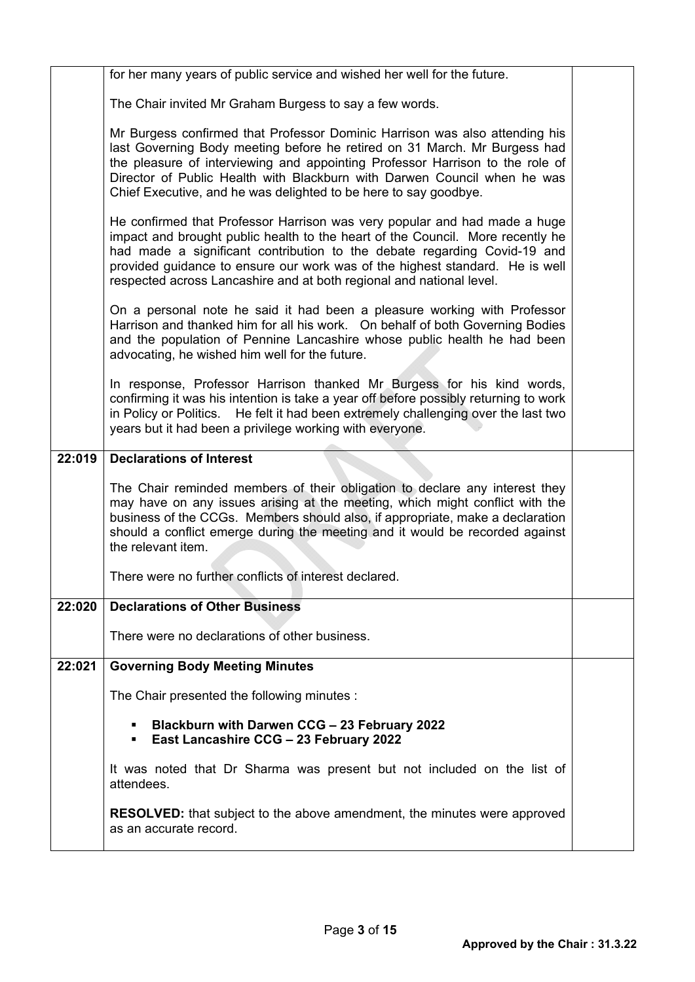|        | for her many years of public service and wished her well for the future.                                                                                                                                                                                                                                                                                                                        |  |
|--------|-------------------------------------------------------------------------------------------------------------------------------------------------------------------------------------------------------------------------------------------------------------------------------------------------------------------------------------------------------------------------------------------------|--|
|        | The Chair invited Mr Graham Burgess to say a few words.                                                                                                                                                                                                                                                                                                                                         |  |
|        | Mr Burgess confirmed that Professor Dominic Harrison was also attending his<br>last Governing Body meeting before he retired on 31 March. Mr Burgess had<br>the pleasure of interviewing and appointing Professor Harrison to the role of<br>Director of Public Health with Blackburn with Darwen Council when he was<br>Chief Executive, and he was delighted to be here to say goodbye.       |  |
|        | He confirmed that Professor Harrison was very popular and had made a huge<br>impact and brought public health to the heart of the Council. More recently he<br>had made a significant contribution to the debate regarding Covid-19 and<br>provided guidance to ensure our work was of the highest standard. He is well<br>respected across Lancashire and at both regional and national level. |  |
|        | On a personal note he said it had been a pleasure working with Professor<br>Harrison and thanked him for all his work. On behalf of both Governing Bodies<br>and the population of Pennine Lancashire whose public health he had been<br>advocating, he wished him well for the future.                                                                                                         |  |
|        | In response, Professor Harrison thanked Mr Burgess for his kind words,<br>confirming it was his intention is take a year off before possibly returning to work<br>in Policy or Politics. He felt it had been extremely challenging over the last two<br>years but it had been a privilege working with everyone.                                                                                |  |
| 22:019 | <b>Declarations of Interest</b>                                                                                                                                                                                                                                                                                                                                                                 |  |
|        | The Chair reminded members of their obligation to declare any interest they<br>may have on any issues arising at the meeting, which might conflict with the<br>business of the CCGs. Members should also, if appropriate, make a declaration<br>should a conflict emerge during the meeting and it would be recorded against<br>the relevant item.                                              |  |
|        | There were no further conflicts of interest declared.                                                                                                                                                                                                                                                                                                                                           |  |
| 22:020 | <b>Declarations of Other Business</b>                                                                                                                                                                                                                                                                                                                                                           |  |
|        | There were no declarations of other business.                                                                                                                                                                                                                                                                                                                                                   |  |
|        |                                                                                                                                                                                                                                                                                                                                                                                                 |  |
| 22:021 | <b>Governing Body Meeting Minutes</b>                                                                                                                                                                                                                                                                                                                                                           |  |
|        | The Chair presented the following minutes :                                                                                                                                                                                                                                                                                                                                                     |  |
|        | Blackburn with Darwen CCG - 23 February 2022<br>East Lancashire CCG - 23 February 2022<br>٠                                                                                                                                                                                                                                                                                                     |  |
|        | It was noted that Dr Sharma was present but not included on the list of<br>attendees.                                                                                                                                                                                                                                                                                                           |  |
|        | <b>RESOLVED:</b> that subject to the above amendment, the minutes were approved<br>as an accurate record.                                                                                                                                                                                                                                                                                       |  |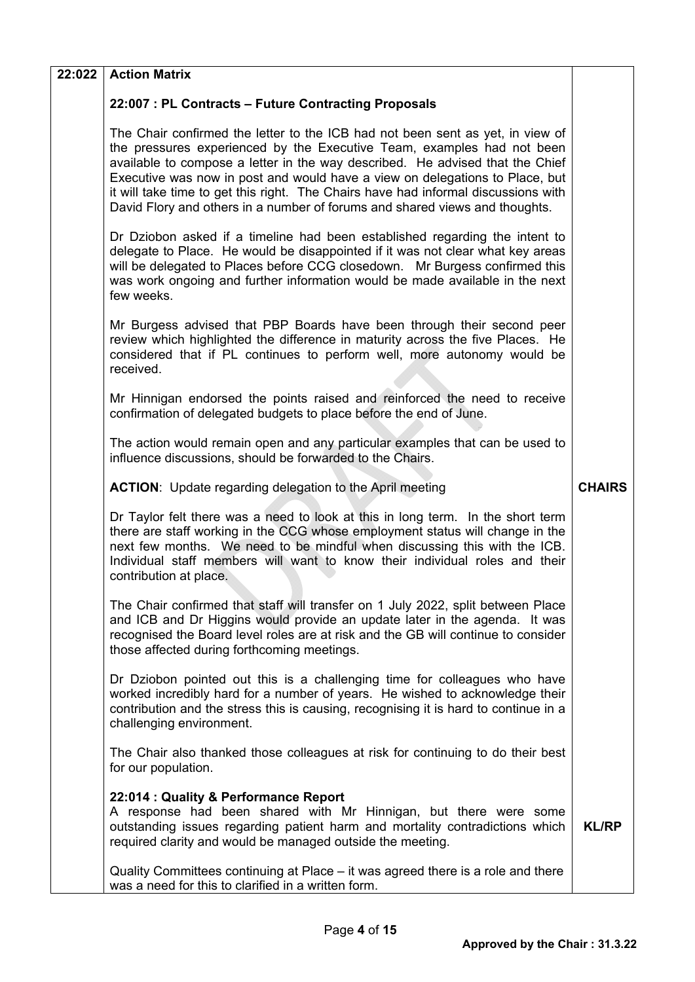| 22:022 | <b>Action Matrix</b>                                                                                                                                                                                                                                                                                                                                                                                                                                                                           |               |
|--------|------------------------------------------------------------------------------------------------------------------------------------------------------------------------------------------------------------------------------------------------------------------------------------------------------------------------------------------------------------------------------------------------------------------------------------------------------------------------------------------------|---------------|
|        | 22:007 : PL Contracts - Future Contracting Proposals                                                                                                                                                                                                                                                                                                                                                                                                                                           |               |
|        | The Chair confirmed the letter to the ICB had not been sent as yet, in view of<br>the pressures experienced by the Executive Team, examples had not been<br>available to compose a letter in the way described. He advised that the Chief<br>Executive was now in post and would have a view on delegations to Place, but<br>it will take time to get this right. The Chairs have had informal discussions with<br>David Flory and others in a number of forums and shared views and thoughts. |               |
|        | Dr Dziobon asked if a timeline had been established regarding the intent to<br>delegate to Place. He would be disappointed if it was not clear what key areas<br>will be delegated to Places before CCG closedown. Mr Burgess confirmed this<br>was work ongoing and further information would be made available in the next<br>few weeks.                                                                                                                                                     |               |
|        | Mr Burgess advised that PBP Boards have been through their second peer<br>review which highlighted the difference in maturity across the five Places. He<br>considered that if PL continues to perform well, more autonomy would be<br>received.                                                                                                                                                                                                                                               |               |
|        | Mr Hinnigan endorsed the points raised and reinforced the need to receive<br>confirmation of delegated budgets to place before the end of June.                                                                                                                                                                                                                                                                                                                                                |               |
|        | The action would remain open and any particular examples that can be used to<br>influence discussions, should be forwarded to the Chairs.                                                                                                                                                                                                                                                                                                                                                      |               |
|        | <b>ACTION:</b> Update regarding delegation to the April meeting                                                                                                                                                                                                                                                                                                                                                                                                                                | <b>CHAIRS</b> |
|        | Dr Taylor felt there was a need to look at this in long term. In the short term<br>there are staff working in the CCG whose employment status will change in the<br>next few months. We need to be mindful when discussing this with the ICB.<br>Individual staff members will want to know their individual roles and their<br>contribution at place.                                                                                                                                         |               |
|        | The Chair confirmed that staff will transfer on 1 July 2022, split between Place<br>and ICB and Dr Higgins would provide an update later in the agenda. It was<br>recognised the Board level roles are at risk and the GB will continue to consider<br>those affected during forthcoming meetings.                                                                                                                                                                                             |               |
|        | Dr Dziobon pointed out this is a challenging time for colleagues who have<br>worked incredibly hard for a number of years. He wished to acknowledge their<br>contribution and the stress this is causing, recognising it is hard to continue in a<br>challenging environment.                                                                                                                                                                                                                  |               |
|        | The Chair also thanked those colleagues at risk for continuing to do their best<br>for our population.                                                                                                                                                                                                                                                                                                                                                                                         |               |
|        | 22:014 : Quality & Performance Report<br>A response had been shared with Mr Hinnigan, but there were some<br>outstanding issues regarding patient harm and mortality contradictions which<br>required clarity and would be managed outside the meeting.                                                                                                                                                                                                                                        | <b>KL/RP</b>  |
|        | Quality Committees continuing at Place – it was agreed there is a role and there<br>was a need for this to clarified in a written form.                                                                                                                                                                                                                                                                                                                                                        |               |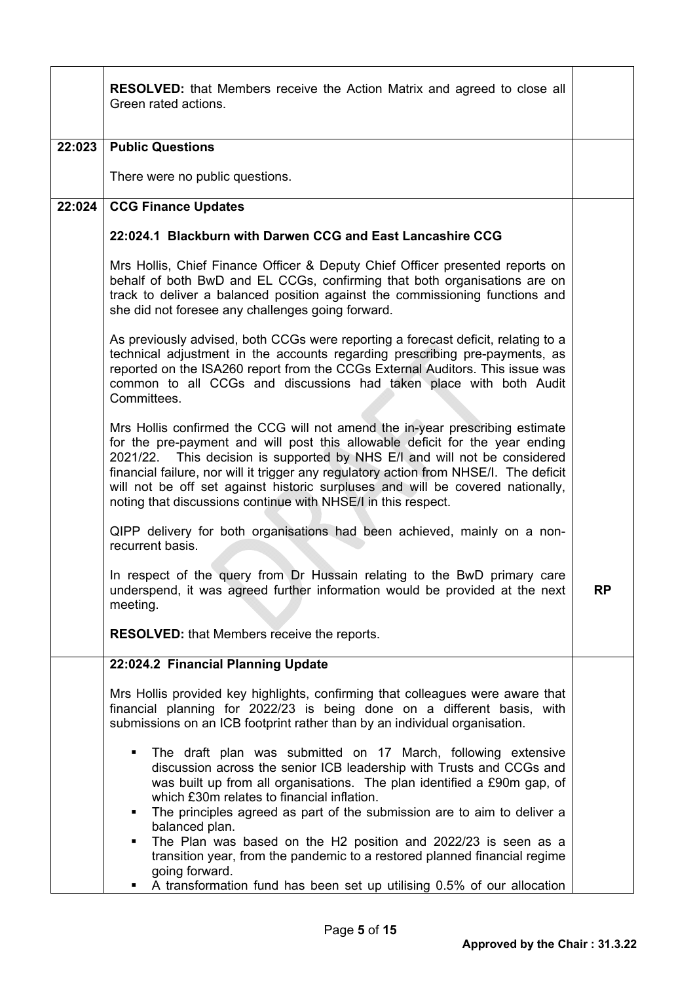|        | <b>RESOLVED:</b> that Members receive the Action Matrix and agreed to close all<br>Green rated actions.                                                                                                                                                                                                                                                                                                                                                                               |           |
|--------|---------------------------------------------------------------------------------------------------------------------------------------------------------------------------------------------------------------------------------------------------------------------------------------------------------------------------------------------------------------------------------------------------------------------------------------------------------------------------------------|-----------|
| 22:023 | <b>Public Questions</b>                                                                                                                                                                                                                                                                                                                                                                                                                                                               |           |
|        | There were no public questions.                                                                                                                                                                                                                                                                                                                                                                                                                                                       |           |
| 22:024 | <b>CCG Finance Updates</b>                                                                                                                                                                                                                                                                                                                                                                                                                                                            |           |
|        | 22:024.1 Blackburn with Darwen CCG and East Lancashire CCG                                                                                                                                                                                                                                                                                                                                                                                                                            |           |
|        | Mrs Hollis, Chief Finance Officer & Deputy Chief Officer presented reports on<br>behalf of both BwD and EL CCGs, confirming that both organisations are on<br>track to deliver a balanced position against the commissioning functions and<br>she did not foresee any challenges going forward.                                                                                                                                                                                       |           |
|        | As previously advised, both CCGs were reporting a forecast deficit, relating to a<br>technical adjustment in the accounts regarding prescribing pre-payments, as<br>reported on the ISA260 report from the CCGs External Auditors. This issue was<br>common to all CCGs and discussions had taken place with both Audit<br>Committees.                                                                                                                                                |           |
|        | Mrs Hollis confirmed the CCG will not amend the in-year prescribing estimate<br>for the pre-payment and will post this allowable deficit for the year ending<br>2021/22. This decision is supported by NHS E/I and will not be considered<br>financial failure, nor will it trigger any regulatory action from NHSE/I. The deficit<br>will not be off set against historic surpluses and will be covered nationally,<br>noting that discussions continue with NHSE/I in this respect. |           |
|        | QIPP delivery for both organisations had been achieved, mainly on a non-<br>recurrent basis.                                                                                                                                                                                                                                                                                                                                                                                          |           |
|        | In respect of the query from Dr Hussain relating to the BwD primary care<br>underspend, it was agreed further information would be provided at the next<br>meeting.                                                                                                                                                                                                                                                                                                                   | <b>RP</b> |
|        | <b>RESOLVED:</b> that Members receive the reports.                                                                                                                                                                                                                                                                                                                                                                                                                                    |           |
|        | 22:024.2 Financial Planning Update                                                                                                                                                                                                                                                                                                                                                                                                                                                    |           |
|        | Mrs Hollis provided key highlights, confirming that colleagues were aware that<br>financial planning for 2022/23 is being done on a different basis, with<br>submissions on an ICB footprint rather than by an individual organisation.                                                                                                                                                                                                                                               |           |
|        | The draft plan was submitted on 17 March, following extensive<br>٠<br>discussion across the senior ICB leadership with Trusts and CCGs and<br>was built up from all organisations. The plan identified a £90m gap, of<br>which £30m relates to financial inflation.<br>The principles agreed as part of the submission are to aim to deliver a<br>balanced plan.                                                                                                                      |           |
|        | The Plan was based on the H2 position and 2022/23 is seen as a<br>٠<br>transition year, from the pandemic to a restored planned financial regime<br>going forward.<br>A transformation fund has been set up utilising 0.5% of our allocation                                                                                                                                                                                                                                          |           |

 $\blacksquare$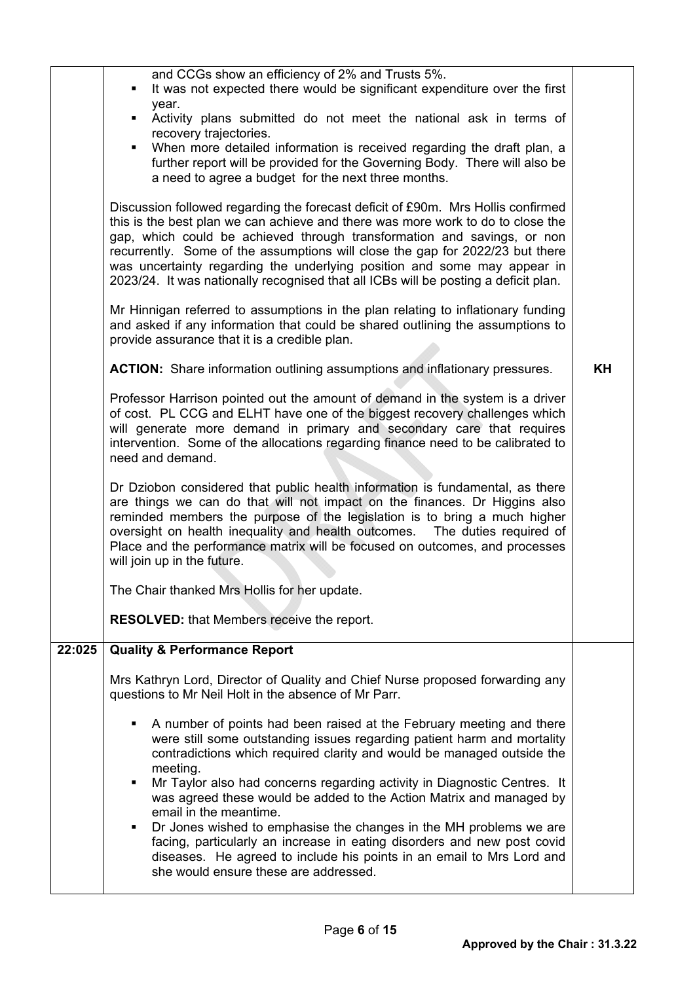|        | and CCGs show an efficiency of 2% and Trusts 5%.<br>It was not expected there would be significant expenditure over the first<br>year.<br>Activity plans submitted do not meet the national ask in terms of<br>recovery trajectories.<br>When more detailed information is received regarding the draft plan, a<br>further report will be provided for the Governing Body. There will also be<br>a need to agree a budget for the next three months.<br>Discussion followed regarding the forecast deficit of £90m. Mrs Hollis confirmed<br>this is the best plan we can achieve and there was more work to do to close the<br>gap, which could be achieved through transformation and savings, or non<br>recurrently. Some of the assumptions will close the gap for 2022/23 but there<br>was uncertainty regarding the underlying position and some may appear in<br>2023/24. It was nationally recognised that all ICBs will be posting a deficit plan.<br>Mr Hinnigan referred to assumptions in the plan relating to inflationary funding<br>and asked if any information that could be shared outlining the assumptions to<br>provide assurance that it is a credible plan.<br><b>ACTION:</b> Share information outlining assumptions and inflationary pressures.<br>Professor Harrison pointed out the amount of demand in the system is a driver<br>of cost. PL CCG and ELHT have one of the biggest recovery challenges which<br>will generate more demand in primary and secondary care that requires<br>intervention. Some of the allocations regarding finance need to be calibrated to<br>need and demand.<br>Dr Dziobon considered that public health information is fundamental, as there<br>are things we can do that will not impact on the finances. Dr Higgins also<br>reminded members the purpose of the legislation is to bring a much higher<br>oversight on health inequality and health outcomes.  The duties required of<br>Place and the performance matrix will be focused on outcomes, and processes<br>will join up in the future.<br>The Chair thanked Mrs Hollis for her update.<br><b>RESOLVED:</b> that Members receive the report. | KH |
|--------|-----------------------------------------------------------------------------------------------------------------------------------------------------------------------------------------------------------------------------------------------------------------------------------------------------------------------------------------------------------------------------------------------------------------------------------------------------------------------------------------------------------------------------------------------------------------------------------------------------------------------------------------------------------------------------------------------------------------------------------------------------------------------------------------------------------------------------------------------------------------------------------------------------------------------------------------------------------------------------------------------------------------------------------------------------------------------------------------------------------------------------------------------------------------------------------------------------------------------------------------------------------------------------------------------------------------------------------------------------------------------------------------------------------------------------------------------------------------------------------------------------------------------------------------------------------------------------------------------------------------------------------------------------------------------------------------------------------------------------------------------------------------------------------------------------------------------------------------------------------------------------------------------------------------------------------------------------------------------------------------------------------------------------------------------------------------------------------------------------------------------------------------------------------------------|----|
| 22:025 | <b>Quality &amp; Performance Report</b>                                                                                                                                                                                                                                                                                                                                                                                                                                                                                                                                                                                                                                                                                                                                                                                                                                                                                                                                                                                                                                                                                                                                                                                                                                                                                                                                                                                                                                                                                                                                                                                                                                                                                                                                                                                                                                                                                                                                                                                                                                                                                                                               |    |
|        | Mrs Kathryn Lord, Director of Quality and Chief Nurse proposed forwarding any<br>questions to Mr Neil Holt in the absence of Mr Parr.                                                                                                                                                                                                                                                                                                                                                                                                                                                                                                                                                                                                                                                                                                                                                                                                                                                                                                                                                                                                                                                                                                                                                                                                                                                                                                                                                                                                                                                                                                                                                                                                                                                                                                                                                                                                                                                                                                                                                                                                                                 |    |
|        | A number of points had been raised at the February meeting and there<br>were still some outstanding issues regarding patient harm and mortality<br>contradictions which required clarity and would be managed outside the<br>meeting.<br>Mr Taylor also had concerns regarding activity in Diagnostic Centres. It<br>٠<br>was agreed these would be added to the Action Matrix and managed by<br>email in the meantime.<br>Dr Jones wished to emphasise the changes in the MH problems we are<br>facing, particularly an increase in eating disorders and new post covid<br>diseases. He agreed to include his points in an email to Mrs Lord and<br>she would ensure these are addressed.                                                                                                                                                                                                                                                                                                                                                                                                                                                                                                                                                                                                                                                                                                                                                                                                                                                                                                                                                                                                                                                                                                                                                                                                                                                                                                                                                                                                                                                                            |    |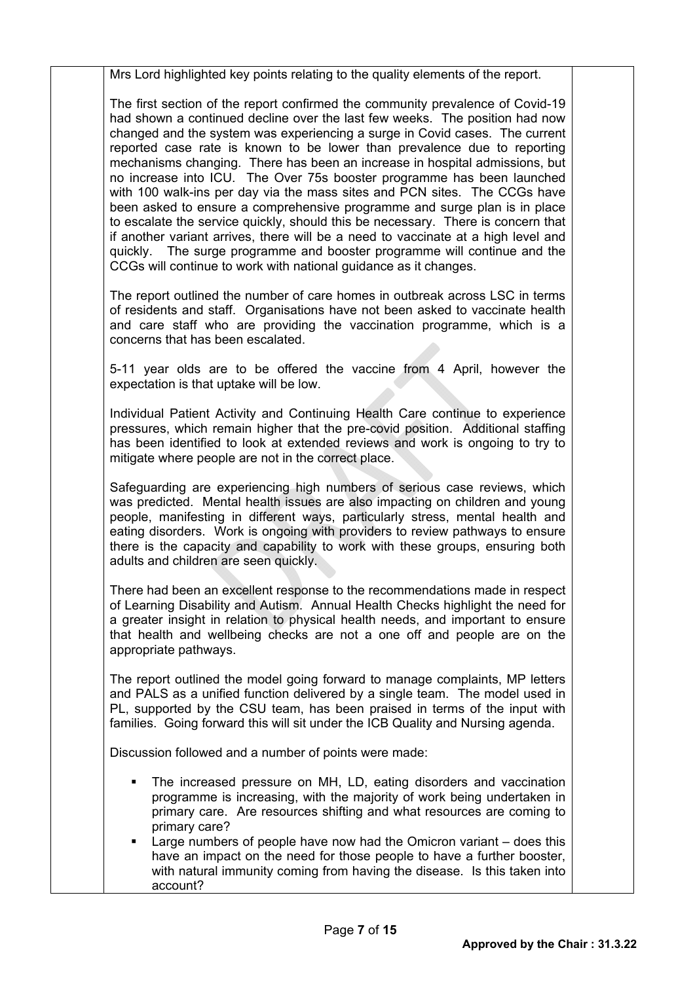Mrs Lord highlighted key points relating to the quality elements of the report.

The first section of the report confirmed the community prevalence of Covid-19 had shown a continued decline over the last few weeks. The position had now changed and the system was experiencing a surge in Covid cases. The current reported case rate is known to be lower than prevalence due to reporting mechanisms changing. There has been an increase in hospital admissions, but no increase into ICU. The Over 75s booster programme has been launched with 100 walk-ins per day via the mass sites and PCN sites. The CCGs have been asked to ensure a comprehensive programme and surge plan is in place to escalate the service quickly, should this be necessary. There is concern that if another variant arrives, there will be a need to vaccinate at a high level and quickly. The surge programme and booster programme will continue and the CCGs will continue to work with national guidance as it changes.

The report outlined the number of care homes in outbreak across LSC in terms of residents and staff. Organisations have not been asked to vaccinate health and care staff who are providing the vaccination programme, which is a concerns that has been escalated.

5-11 year olds are to be offered the vaccine from 4 April, however the expectation is that uptake will be low.

Individual Patient Activity and Continuing Health Care continue to experience pressures, which remain higher that the pre-covid position. Additional staffing has been identified to look at extended reviews and work is ongoing to try to mitigate where people are not in the correct place.

Safeguarding are experiencing high numbers of serious case reviews, which was predicted. Mental health issues are also impacting on children and young people, manifesting in different ways, particularly stress, mental health and eating disorders. Work is ongoing with providers to review pathways to ensure there is the capacity and capability to work with these groups, ensuring both adults and children are seen quickly.

There had been an excellent response to the recommendations made in respect of Learning Disability and Autism. Annual Health Checks highlight the need for a greater insight in relation to physical health needs, and important to ensure that health and wellbeing checks are not a one off and people are on the appropriate pathways.

The report outlined the model going forward to manage complaints, MP letters and PALS as a unified function delivered by a single team. The model used in PL, supported by the CSU team, has been praised in terms of the input with families. Going forward this will sit under the ICB Quality and Nursing agenda.

Discussion followed and a number of points were made:

- The increased pressure on MH, LD, eating disorders and vaccination programme is increasing, with the majority of work being undertaken in primary care. Are resources shifting and what resources are coming to primary care?
- Large numbers of people have now had the Omicron variant does this have an impact on the need for those people to have a further booster, with natural immunity coming from having the disease. Is this taken into account?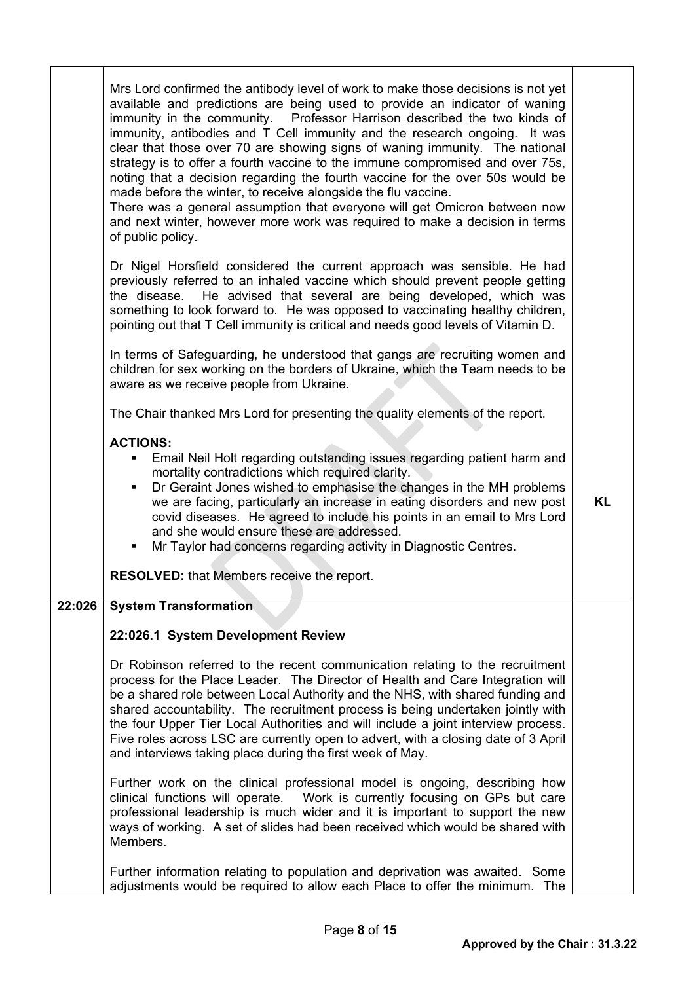|        | Mrs Lord confirmed the antibody level of work to make those decisions is not yet<br>available and predictions are being used to provide an indicator of waning<br>immunity in the community.  Professor Harrison described the two kinds of<br>immunity, antibodies and T Cell immunity and the research ongoing. It was<br>clear that those over 70 are showing signs of waning immunity. The national<br>strategy is to offer a fourth vaccine to the immune compromised and over 75s,<br>noting that a decision regarding the fourth vaccine for the over 50s would be<br>made before the winter, to receive alongside the flu vaccine.<br>There was a general assumption that everyone will get Omicron between now<br>and next winter, however more work was required to make a decision in terms<br>of public policy.<br>Dr Nigel Horsfield considered the current approach was sensible. He had<br>previously referred to an inhaled vaccine which should prevent people getting<br>He advised that several are being developed, which was<br>the disease.<br>something to look forward to. He was opposed to vaccinating healthy children,<br>pointing out that T Cell immunity is critical and needs good levels of Vitamin D.<br>In terms of Safeguarding, he understood that gangs are recruiting women and<br>children for sex working on the borders of Ukraine, which the Team needs to be<br>aware as we receive people from Ukraine. |           |
|--------|------------------------------------------------------------------------------------------------------------------------------------------------------------------------------------------------------------------------------------------------------------------------------------------------------------------------------------------------------------------------------------------------------------------------------------------------------------------------------------------------------------------------------------------------------------------------------------------------------------------------------------------------------------------------------------------------------------------------------------------------------------------------------------------------------------------------------------------------------------------------------------------------------------------------------------------------------------------------------------------------------------------------------------------------------------------------------------------------------------------------------------------------------------------------------------------------------------------------------------------------------------------------------------------------------------------------------------------------------------------------------------------------------------------------------------------------------|-----------|
|        | The Chair thanked Mrs Lord for presenting the quality elements of the report.                                                                                                                                                                                                                                                                                                                                                                                                                                                                                                                                                                                                                                                                                                                                                                                                                                                                                                                                                                                                                                                                                                                                                                                                                                                                                                                                                                        |           |
|        | <b>ACTIONS:</b><br>Email Neil Holt regarding outstanding issues regarding patient harm and<br>mortality contradictions which required clarity.<br>Dr Geraint Jones wished to emphasise the changes in the MH problems<br>٠<br>we are facing, particularly an increase in eating disorders and new post<br>covid diseases. He agreed to include his points in an email to Mrs Lord<br>and she would ensure these are addressed.<br>Mr Taylor had concerns regarding activity in Diagnostic Centres.<br>٠<br><b>RESOLVED:</b> that Members receive the report.                                                                                                                                                                                                                                                                                                                                                                                                                                                                                                                                                                                                                                                                                                                                                                                                                                                                                         | <b>KL</b> |
| 22:026 | <b>System Transformation</b>                                                                                                                                                                                                                                                                                                                                                                                                                                                                                                                                                                                                                                                                                                                                                                                                                                                                                                                                                                                                                                                                                                                                                                                                                                                                                                                                                                                                                         |           |
|        | 22:026.1 System Development Review                                                                                                                                                                                                                                                                                                                                                                                                                                                                                                                                                                                                                                                                                                                                                                                                                                                                                                                                                                                                                                                                                                                                                                                                                                                                                                                                                                                                                   |           |
|        | Dr Robinson referred to the recent communication relating to the recruitment<br>process for the Place Leader. The Director of Health and Care Integration will<br>be a shared role between Local Authority and the NHS, with shared funding and<br>shared accountability. The recruitment process is being undertaken jointly with<br>the four Upper Tier Local Authorities and will include a joint interview process.<br>Five roles across LSC are currently open to advert, with a closing date of 3 April<br>and interviews taking place during the first week of May.                                                                                                                                                                                                                                                                                                                                                                                                                                                                                                                                                                                                                                                                                                                                                                                                                                                                           |           |
|        | Further work on the clinical professional model is ongoing, describing how<br>clinical functions will operate.  Work is currently focusing on GPs but care<br>professional leadership is much wider and it is important to support the new<br>ways of working. A set of slides had been received which would be shared with<br>Members.                                                                                                                                                                                                                                                                                                                                                                                                                                                                                                                                                                                                                                                                                                                                                                                                                                                                                                                                                                                                                                                                                                              |           |
|        | Further information relating to population and deprivation was awaited. Some<br>adjustments would be required to allow each Place to offer the minimum.<br>The                                                                                                                                                                                                                                                                                                                                                                                                                                                                                                                                                                                                                                                                                                                                                                                                                                                                                                                                                                                                                                                                                                                                                                                                                                                                                       |           |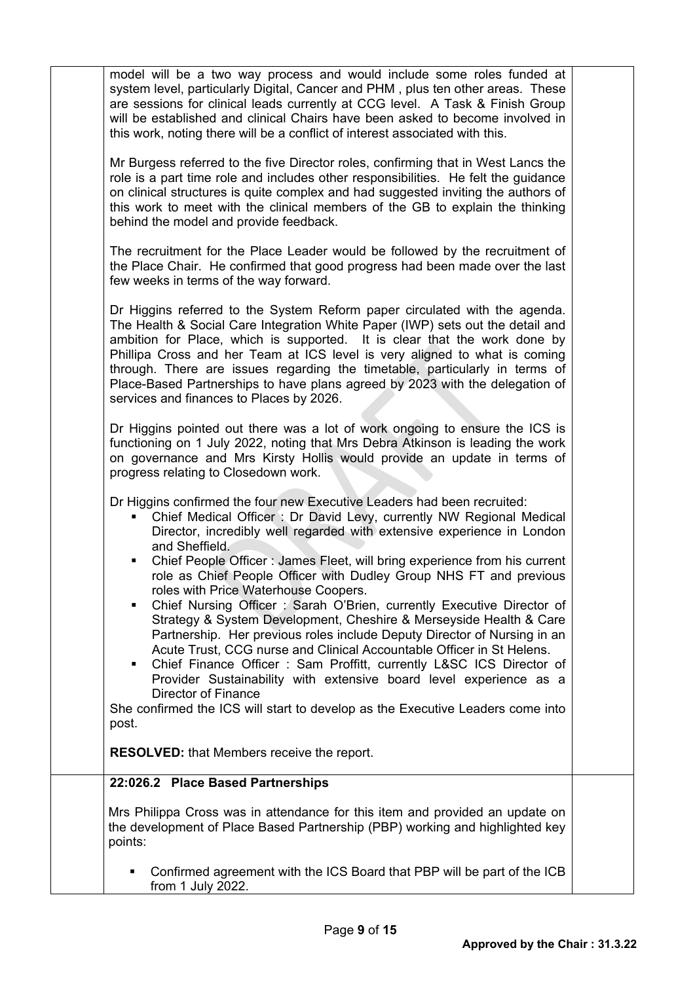model will be a two way process and would include some roles funded at system level, particularly Digital, Cancer and PHM , plus ten other areas. These are sessions for clinical leads currently at CCG level. A Task & Finish Group will be established and clinical Chairs have been asked to become involved in this work, noting there will be a conflict of interest associated with this.

Mr Burgess referred to the five Director roles, confirming that in West Lancs the role is a part time role and includes other responsibilities. He felt the guidance on clinical structures is quite complex and had suggested inviting the authors of this work to meet with the clinical members of the GB to explain the thinking behind the model and provide feedback.

The recruitment for the Place Leader would be followed by the recruitment of the Place Chair. He confirmed that good progress had been made over the last few weeks in terms of the way forward.

Dr Higgins referred to the System Reform paper circulated with the agenda. The Health & Social Care Integration White Paper (IWP) sets out the detail and ambition for Place, which is supported. It is clear that the work done by Phillipa Cross and her Team at ICS level is very aligned to what is coming through. There are issues regarding the timetable, particularly in terms of Place-Based Partnerships to have plans agreed by 2023 with the delegation of services and finances to Places by 2026.

Dr Higgins pointed out there was a lot of work ongoing to ensure the ICS is functioning on 1 July 2022, noting that Mrs Debra Atkinson is leading the work on governance and Mrs Kirsty Hollis would provide an update in terms of progress relating to Closedown work.

Dr Higgins confirmed the four new Executive Leaders had been recruited:

- Chief Medical Officer : Dr David Levy, currently NW Regional Medical Director, incredibly well regarded with extensive experience in London and Sheffield.
- Chief People Officer : James Fleet, will bring experience from his current role as Chief People Officer with Dudley Group NHS FT and previous roles with Price Waterhouse Coopers.
- Chief Nursing Officer : Sarah O'Brien, currently Executive Director of Strategy & System Development, Cheshire & Merseyside Health & Care Partnership. Her previous roles include Deputy Director of Nursing in an Acute Trust, CCG nurse and Clinical Accountable Officer in St Helens.
- Chief Finance Officer : Sam Proffitt, currently L&SC ICS Director of Provider Sustainability with extensive board level experience as a Director of Finance

She confirmed the ICS will start to develop as the Executive Leaders come into post.

**RESOLVED:** that Members receive the report.

## **22:026.2 Place Based Partnerships**

Mrs Philippa Cross was in attendance for this item and provided an update on the development of Place Based Partnership (PBP) working and highlighted key points:

 Confirmed agreement with the ICS Board that PBP will be part of the ICB from 1 July 2022.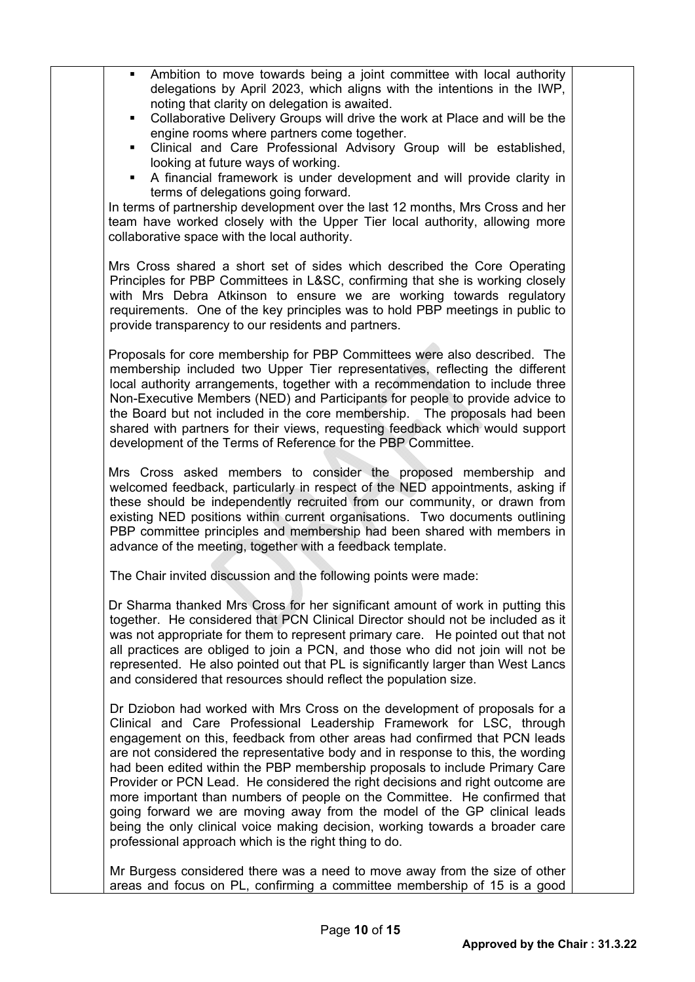| Ambition to move towards being a joint committee with local authority<br>delegations by April 2023, which aligns with the intentions in the IWP,<br>noting that clarity on delegation is awaited.<br>Collaborative Delivery Groups will drive the work at Place and will be the<br>п.<br>engine rooms where partners come together.<br>Clinical and Care Professional Advisory Group will be established,<br>п.<br>looking at future ways of working.<br>A financial framework is under development and will provide clarity in<br>$\blacksquare$<br>terms of delegations going forward.<br>In terms of partnership development over the last 12 months, Mrs Cross and her<br>team have worked closely with the Upper Tier local authority, allowing more<br>collaborative space with the local authority. |  |
|------------------------------------------------------------------------------------------------------------------------------------------------------------------------------------------------------------------------------------------------------------------------------------------------------------------------------------------------------------------------------------------------------------------------------------------------------------------------------------------------------------------------------------------------------------------------------------------------------------------------------------------------------------------------------------------------------------------------------------------------------------------------------------------------------------|--|
| Mrs Cross shared a short set of sides which described the Core Operating<br>Principles for PBP Committees in L&SC, confirming that she is working closely<br>with Mrs Debra Atkinson to ensure we are working towards regulatory<br>requirements. One of the key principles was to hold PBP meetings in public to<br>provide transparency to our residents and partners.                                                                                                                                                                                                                                                                                                                                                                                                                                   |  |
| Proposals for core membership for PBP Committees were also described. The<br>membership included two Upper Tier representatives, reflecting the different<br>local authority arrangements, together with a recommendation to include three<br>Non-Executive Members (NED) and Participants for people to provide advice to<br>the Board but not included in the core membership. The proposals had been<br>shared with partners for their views, requesting feedback which would support<br>development of the Terms of Reference for the PBP Committee.                                                                                                                                                                                                                                                   |  |
| Mrs Cross asked members to consider the proposed membership and<br>welcomed feedback, particularly in respect of the NED appointments, asking if<br>these should be independently recruited from our community, or drawn from<br>existing NED positions within current organisations. Two documents outlining<br>PBP committee principles and membership had been shared with members in<br>advance of the meeting, together with a feedback template.                                                                                                                                                                                                                                                                                                                                                     |  |
| The Chair invited discussion and the following points were made:                                                                                                                                                                                                                                                                                                                                                                                                                                                                                                                                                                                                                                                                                                                                           |  |
| Dr Sharma thanked Mrs Cross for her significant amount of work in putting this<br>together. He considered that PCN Clinical Director should not be included as it<br>was not appropriate for them to represent primary care. He pointed out that not<br>all practices are obliged to join a PCN, and those who did not join will not be<br>represented. He also pointed out that PL is significantly larger than West Lancs<br>and considered that resources should reflect the population size.                                                                                                                                                                                                                                                                                                           |  |
| Dr Dziobon had worked with Mrs Cross on the development of proposals for a<br>Clinical and Care Professional Leadership Framework for LSC, through<br>engagement on this, feedback from other areas had confirmed that PCN leads<br>are not considered the representative body and in response to this, the wording<br>had been edited within the PBP membership proposals to include Primary Care<br>Provider or PCN Lead. He considered the right decisions and right outcome are<br>more important than numbers of people on the Committee. He confirmed that<br>going forward we are moving away from the model of the GP clinical leads<br>being the only clinical voice making decision, working towards a broader care<br>professional approach which is the right thing to do.                     |  |
| Mr Burgess considered there was a need to move away from the size of other<br>areas and focus on PL, confirming a committee membership of 15 is a good                                                                                                                                                                                                                                                                                                                                                                                                                                                                                                                                                                                                                                                     |  |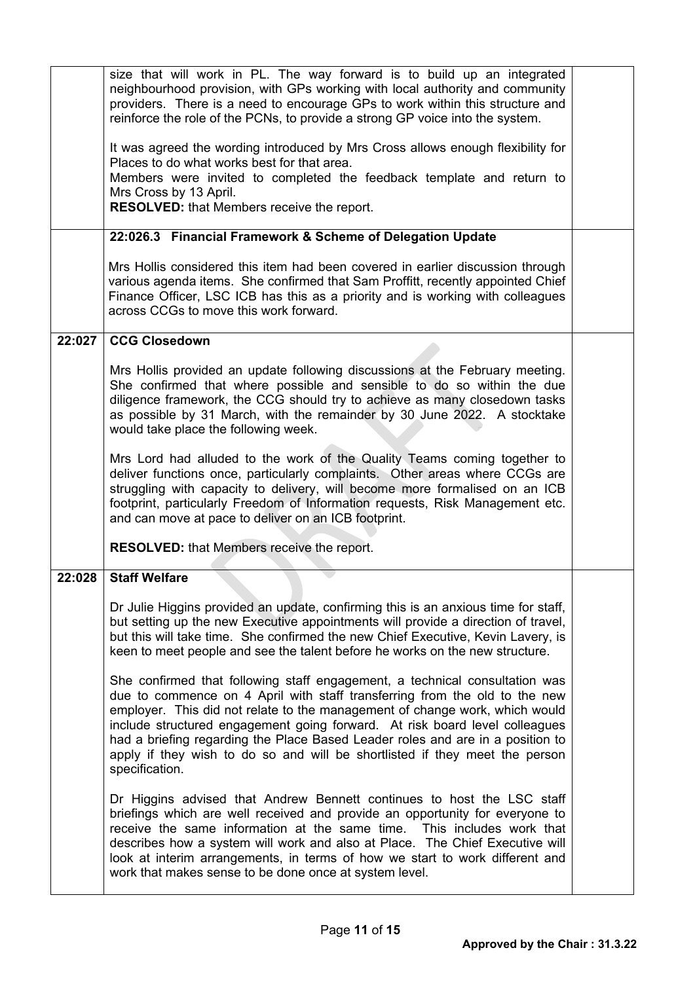|        | size that will work in PL. The way forward is to build up an integrated<br>neighbourhood provision, with GPs working with local authority and community<br>providers. There is a need to encourage GPs to work within this structure and<br>reinforce the role of the PCNs, to provide a strong GP voice into the system.                                                                                                                                                                                  |  |
|--------|------------------------------------------------------------------------------------------------------------------------------------------------------------------------------------------------------------------------------------------------------------------------------------------------------------------------------------------------------------------------------------------------------------------------------------------------------------------------------------------------------------|--|
|        | It was agreed the wording introduced by Mrs Cross allows enough flexibility for<br>Places to do what works best for that area.<br>Members were invited to completed the feedback template and return to<br>Mrs Cross by 13 April.<br><b>RESOLVED:</b> that Members receive the report.                                                                                                                                                                                                                     |  |
|        | 22:026.3 Financial Framework & Scheme of Delegation Update                                                                                                                                                                                                                                                                                                                                                                                                                                                 |  |
|        | Mrs Hollis considered this item had been covered in earlier discussion through<br>various agenda items. She confirmed that Sam Proffitt, recently appointed Chief<br>Finance Officer, LSC ICB has this as a priority and is working with colleagues<br>across CCGs to move this work forward.                                                                                                                                                                                                              |  |
| 22:027 | <b>CCG Closedown</b>                                                                                                                                                                                                                                                                                                                                                                                                                                                                                       |  |
|        | Mrs Hollis provided an update following discussions at the February meeting.<br>She confirmed that where possible and sensible to do so within the due<br>diligence framework, the CCG should try to achieve as many closedown tasks<br>as possible by 31 March, with the remainder by 30 June 2022. A stocktake<br>would take place the following week.                                                                                                                                                   |  |
|        | Mrs Lord had alluded to the work of the Quality Teams coming together to<br>deliver functions once, particularly complaints. Other areas where CCGs are<br>struggling with capacity to delivery, will become more formalised on an ICB<br>footprint, particularly Freedom of Information requests, Risk Management etc.<br>and can move at pace to deliver on an ICB footprint.                                                                                                                            |  |
|        | <b>RESOLVED:</b> that Members receive the report.                                                                                                                                                                                                                                                                                                                                                                                                                                                          |  |
| 22:028 | <b>Staff Welfare</b>                                                                                                                                                                                                                                                                                                                                                                                                                                                                                       |  |
|        | Dr Julie Higgins provided an update, confirming this is an anxious time for staff,<br>but setting up the new Executive appointments will provide a direction of travel,<br>but this will take time. She confirmed the new Chief Executive, Kevin Lavery, is<br>keen to meet people and see the talent before he works on the new structure.                                                                                                                                                                |  |
|        | She confirmed that following staff engagement, a technical consultation was<br>due to commence on 4 April with staff transferring from the old to the new<br>employer. This did not relate to the management of change work, which would<br>include structured engagement going forward. At risk board level colleagues<br>had a briefing regarding the Place Based Leader roles and are in a position to<br>apply if they wish to do so and will be shortlisted if they meet the person<br>specification. |  |
|        | Dr Higgins advised that Andrew Bennett continues to host the LSC staff<br>briefings which are well received and provide an opportunity for everyone to<br>receive the same information at the same time. This includes work that<br>describes how a system will work and also at Place. The Chief Executive will<br>look at interim arrangements, in terms of how we start to work different and<br>work that makes sense to be done once at system level.                                                 |  |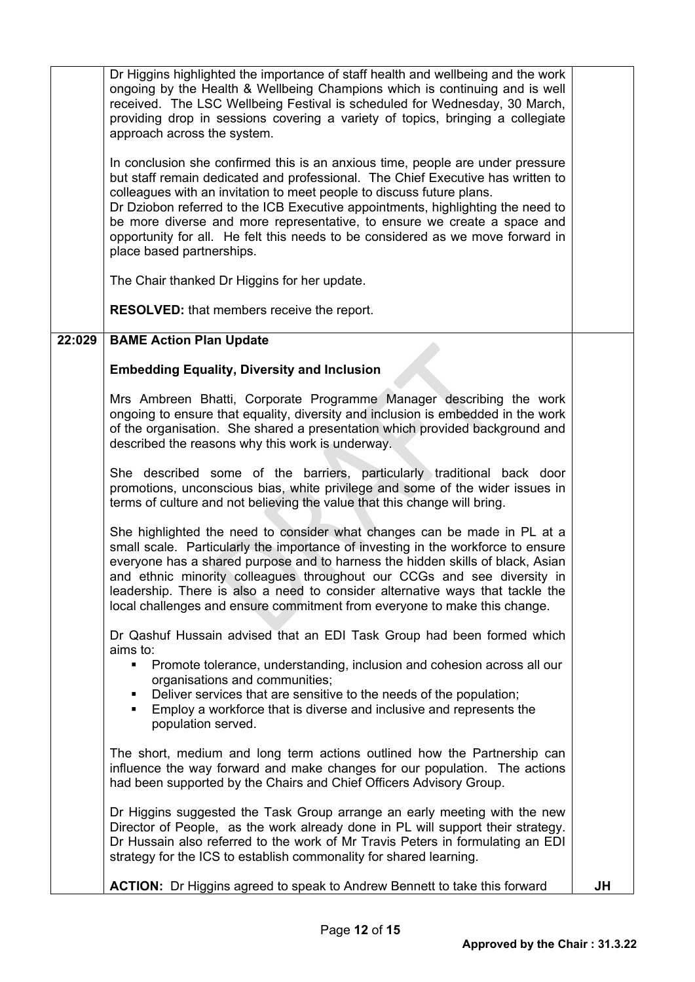|        | <b>ACTION:</b> Dr Higgins agreed to speak to Andrew Bennett to take this forward                                                                                                                                                                                                                                                                                                                                                                                                                                         | JH |
|--------|--------------------------------------------------------------------------------------------------------------------------------------------------------------------------------------------------------------------------------------------------------------------------------------------------------------------------------------------------------------------------------------------------------------------------------------------------------------------------------------------------------------------------|----|
|        | Dr Higgins suggested the Task Group arrange an early meeting with the new<br>Director of People, as the work already done in PL will support their strategy.<br>Dr Hussain also referred to the work of Mr Travis Peters in formulating an EDI<br>strategy for the ICS to establish commonality for shared learning.                                                                                                                                                                                                     |    |
|        | The short, medium and long term actions outlined how the Partnership can<br>influence the way forward and make changes for our population. The actions<br>had been supported by the Chairs and Chief Officers Advisory Group.                                                                                                                                                                                                                                                                                            |    |
|        | Dr Qashuf Hussain advised that an EDI Task Group had been formed which<br>aims to:<br>Promote tolerance, understanding, inclusion and cohesion across all our<br>organisations and communities;<br>Deliver services that are sensitive to the needs of the population;<br>Employ a workforce that is diverse and inclusive and represents the<br>population served.                                                                                                                                                      |    |
|        | She highlighted the need to consider what changes can be made in PL at a<br>small scale. Particularly the importance of investing in the workforce to ensure<br>everyone has a shared purpose and to harness the hidden skills of black, Asian<br>and ethnic minority colleagues throughout our CCGs and see diversity in<br>leadership. There is also a need to consider alternative ways that tackle the<br>local challenges and ensure commitment from everyone to make this change.                                  |    |
|        | She described some of the barriers, particularly traditional back door<br>promotions, unconscious bias, white privilege and some of the wider issues in<br>terms of culture and not believing the value that this change will bring.                                                                                                                                                                                                                                                                                     |    |
|        | Mrs Ambreen Bhatti, Corporate Programme Manager describing the work<br>ongoing to ensure that equality, diversity and inclusion is embedded in the work<br>of the organisation. She shared a presentation which provided background and<br>described the reasons why this work is underway.                                                                                                                                                                                                                              |    |
|        | <b>Embedding Equality, Diversity and Inclusion</b>                                                                                                                                                                                                                                                                                                                                                                                                                                                                       |    |
| 22:029 | <b>BAME Action Plan Update</b>                                                                                                                                                                                                                                                                                                                                                                                                                                                                                           |    |
|        | <b>RESOLVED:</b> that members receive the report.                                                                                                                                                                                                                                                                                                                                                                                                                                                                        |    |
|        | The Chair thanked Dr Higgins for her update.                                                                                                                                                                                                                                                                                                                                                                                                                                                                             |    |
|        | In conclusion she confirmed this is an anxious time, people are under pressure<br>but staff remain dedicated and professional. The Chief Executive has written to<br>colleagues with an invitation to meet people to discuss future plans.<br>Dr Dziobon referred to the ICB Executive appointments, highlighting the need to<br>be more diverse and more representative, to ensure we create a space and<br>opportunity for all. He felt this needs to be considered as we move forward in<br>place based partnerships. |    |
|        | Dr Higgins highlighted the importance of staff health and wellbeing and the work<br>ongoing by the Health & Wellbeing Champions which is continuing and is well<br>received. The LSC Wellbeing Festival is scheduled for Wednesday, 30 March,<br>providing drop in sessions covering a variety of topics, bringing a collegiate<br>approach across the system.                                                                                                                                                           |    |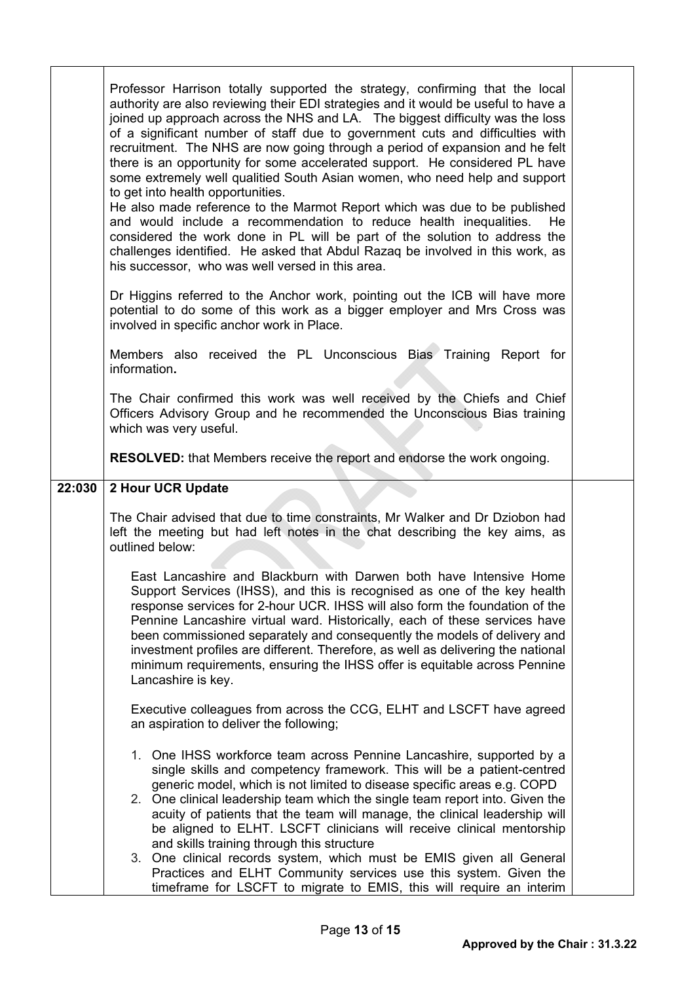|        | Professor Harrison totally supported the strategy, confirming that the local<br>authority are also reviewing their EDI strategies and it would be useful to have a<br>joined up approach across the NHS and LA. The biggest difficulty was the loss                                                                                                                                                                                                                                                                                                                            |  |
|--------|--------------------------------------------------------------------------------------------------------------------------------------------------------------------------------------------------------------------------------------------------------------------------------------------------------------------------------------------------------------------------------------------------------------------------------------------------------------------------------------------------------------------------------------------------------------------------------|--|
|        | of a significant number of staff due to government cuts and difficulties with<br>recruitment. The NHS are now going through a period of expansion and he felt<br>there is an opportunity for some accelerated support. He considered PL have<br>some extremely well qualitied South Asian women, who need help and support<br>to get into health opportunities.                                                                                                                                                                                                                |  |
|        | He also made reference to the Marmot Report which was due to be published<br>and would include a recommendation to reduce health inequalities.<br>He.<br>considered the work done in PL will be part of the solution to address the<br>challenges identified. He asked that Abdul Razaq be involved in this work, as<br>his successor, who was well versed in this area.                                                                                                                                                                                                       |  |
|        | Dr Higgins referred to the Anchor work, pointing out the ICB will have more<br>potential to do some of this work as a bigger employer and Mrs Cross was<br>involved in specific anchor work in Place.                                                                                                                                                                                                                                                                                                                                                                          |  |
|        | Members also received the PL Unconscious Bias Training Report for<br>information.                                                                                                                                                                                                                                                                                                                                                                                                                                                                                              |  |
|        | The Chair confirmed this work was well received by the Chiefs and Chief<br>Officers Advisory Group and he recommended the Unconscious Bias training<br>which was very useful.                                                                                                                                                                                                                                                                                                                                                                                                  |  |
|        | <b>RESOLVED:</b> that Members receive the report and endorse the work ongoing.                                                                                                                                                                                                                                                                                                                                                                                                                                                                                                 |  |
| 22:030 | 2 Hour UCR Update                                                                                                                                                                                                                                                                                                                                                                                                                                                                                                                                                              |  |
|        |                                                                                                                                                                                                                                                                                                                                                                                                                                                                                                                                                                                |  |
|        | The Chair advised that due to time constraints, Mr Walker and Dr Dziobon had<br>left the meeting but had left notes in the chat describing the key aims, as<br>outlined below:                                                                                                                                                                                                                                                                                                                                                                                                 |  |
|        | East Lancashire and Blackburn with Darwen both have Intensive Home<br>Support Services (IHSS), and this is recognised as one of the key health<br>response services for 2-hour UCR. IHSS will also form the foundation of the<br>Pennine Lancashire virtual ward. Historically, each of these services have<br>been commissioned separately and consequently the models of delivery and<br>investment profiles are different. Therefore, as well as delivering the national<br>minimum requirements, ensuring the IHSS offer is equitable across Pennine<br>Lancashire is key. |  |
|        | Executive colleagues from across the CCG, ELHT and LSCFT have agreed<br>an aspiration to deliver the following;                                                                                                                                                                                                                                                                                                                                                                                                                                                                |  |
|        | 1. One IHSS workforce team across Pennine Lancashire, supported by a<br>single skills and competency framework. This will be a patient-centred<br>generic model, which is not limited to disease specific areas e.g. COPD<br>2. One clinical leadership team which the single team report into. Given the<br>acuity of patients that the team will manage, the clinical leadership will<br>be aligned to ELHT. LSCFT clinicians will receive clinical mentorship<br>and skills training through this structure                                                                 |  |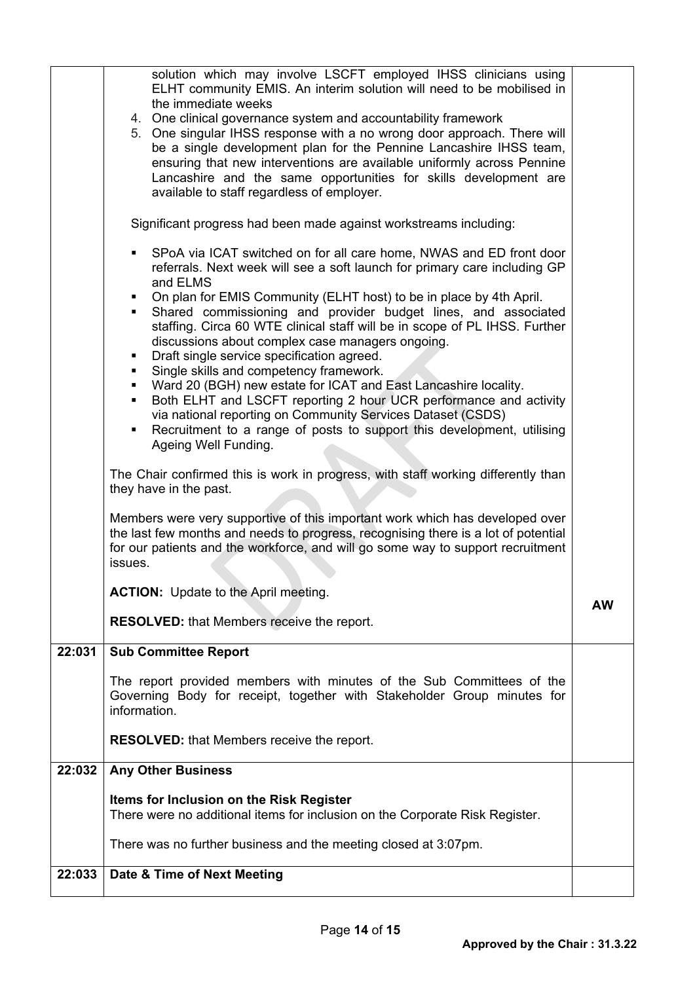|        | solution which may involve LSCFT employed IHSS clinicians using<br>ELHT community EMIS. An interim solution will need to be mobilised in<br>the immediate weeks<br>4. One clinical governance system and accountability framework<br>5. One singular IHSS response with a no wrong door approach. There will<br>be a single development plan for the Pennine Lancashire IHSS team,<br>ensuring that new interventions are available uniformly across Pennine<br>Lancashire and the same opportunities for skills development are<br>available to staff regardless of employer. |    |
|--------|--------------------------------------------------------------------------------------------------------------------------------------------------------------------------------------------------------------------------------------------------------------------------------------------------------------------------------------------------------------------------------------------------------------------------------------------------------------------------------------------------------------------------------------------------------------------------------|----|
|        | Significant progress had been made against workstreams including:                                                                                                                                                                                                                                                                                                                                                                                                                                                                                                              |    |
|        | SPoA via ICAT switched on for all care home, NWAS and ED front door<br>referrals. Next week will see a soft launch for primary care including GP<br>and ELMS<br>On plan for EMIS Community (ELHT host) to be in place by 4th April.                                                                                                                                                                                                                                                                                                                                            |    |
|        | Shared commissioning and provider budget lines, and associated<br>staffing. Circa 60 WTE clinical staff will be in scope of PL IHSS. Further<br>discussions about complex case managers ongoing.<br>Draft single service specification agreed.<br>٠                                                                                                                                                                                                                                                                                                                            |    |
|        | Single skills and competency framework.<br>• Ward 20 (BGH) new estate for ICAT and East Lancashire locality.                                                                                                                                                                                                                                                                                                                                                                                                                                                                   |    |
|        | Both ELHT and LSCFT reporting 2 hour UCR performance and activity<br>٠<br>via national reporting on Community Services Dataset (CSDS)<br>Recruitment to a range of posts to support this development, utilising<br>٠<br>Ageing Well Funding.                                                                                                                                                                                                                                                                                                                                   |    |
|        | The Chair confirmed this is work in progress, with staff working differently than<br>they have in the past.                                                                                                                                                                                                                                                                                                                                                                                                                                                                    |    |
|        | Members were very supportive of this important work which has developed over<br>the last few months and needs to progress, recognising there is a lot of potential<br>for our patients and the workforce, and will go some way to support recruitment<br>issues.                                                                                                                                                                                                                                                                                                               |    |
|        | <b>ACTION:</b> Update to the April meeting.                                                                                                                                                                                                                                                                                                                                                                                                                                                                                                                                    | AW |
|        | <b>RESOLVED:</b> that Members receive the report.                                                                                                                                                                                                                                                                                                                                                                                                                                                                                                                              |    |
| 22:031 | <b>Sub Committee Report</b>                                                                                                                                                                                                                                                                                                                                                                                                                                                                                                                                                    |    |
|        | The report provided members with minutes of the Sub Committees of the<br>Governing Body for receipt, together with Stakeholder Group minutes for<br>information.                                                                                                                                                                                                                                                                                                                                                                                                               |    |
|        | <b>RESOLVED:</b> that Members receive the report.                                                                                                                                                                                                                                                                                                                                                                                                                                                                                                                              |    |
| 22:032 | <b>Any Other Business</b>                                                                                                                                                                                                                                                                                                                                                                                                                                                                                                                                                      |    |
|        | Items for Inclusion on the Risk Register<br>There were no additional items for inclusion on the Corporate Risk Register.                                                                                                                                                                                                                                                                                                                                                                                                                                                       |    |
|        | There was no further business and the meeting closed at 3:07pm.                                                                                                                                                                                                                                                                                                                                                                                                                                                                                                                |    |
| 22:033 | Date & Time of Next Meeting                                                                                                                                                                                                                                                                                                                                                                                                                                                                                                                                                    |    |